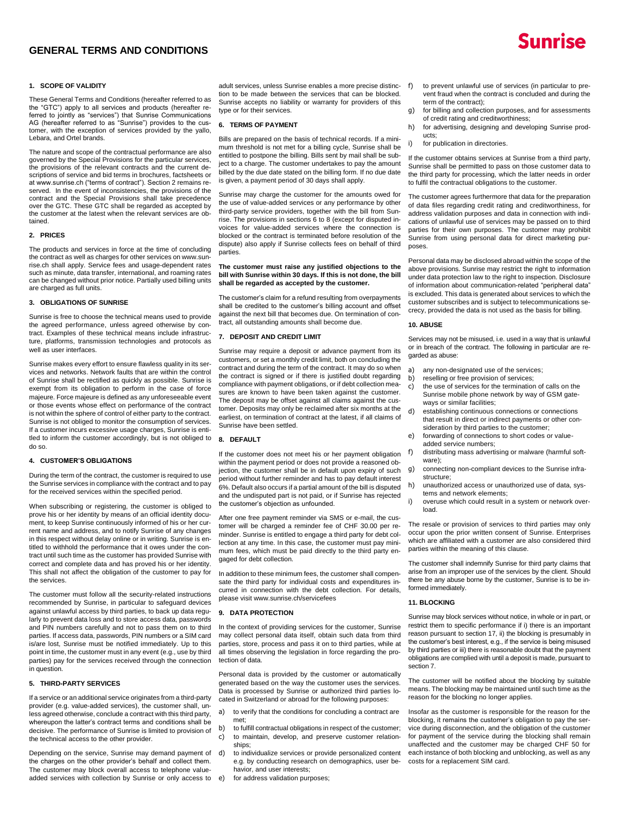# **GENERAL TERMS AND CONDITIONS**



### **1. SCOPE OF VALIDITY**

These General Terms and Conditions (hereafter referred to as the "GTC") apply to all services and products (hereafter referred to jointly as "services") that Sunrise Communications AG (hereafter referred to as "Sunrise") provides to the customer, with the exception of services provided by the yallo, Lebara, and Ortel brands.

The nature and scope of the contractual performance are also governed by the Special Provisions for the particular services, the provisions of the relevant contracts and the current descriptions of service and bid terms in brochures, factsheets or at www.sunrise.ch ("terms of contract"). Section 2 remains reserved. In the event of inconsistencies, the provisions of the contract and the Special Provisions shall take precedence over the GTC. These GTC shall be regarded as accepted by the customer at the latest when the relevant services are obtained.

### **2. PRICES**

The products and services in force at the time of concluding the contract as well as charges for other services on www.sunrise.ch shall apply. Service fees and usage-dependent rates such as minute, data transfer, international, and roaming rates can be changed without prior notice. Partially used billing units are charged as full units.

### **3. OBLIGATIONS OF SUNRISE**

Sunrise is free to choose the technical means used to provide the agreed performance, unless agreed otherwise by contract. Examples of these technical means include infrastructure, platforms, transmission technologies and protocols as well as user interfaces.

Sunrise makes every effort to ensure flawless quality in its services and networks. Network faults that are within the control of Sunrise shall be rectified as quickly as possible. Sunrise is exempt from its obligation to perform in the case of force majeure. Force majeure is defined as any unforeseeable event or those events whose effect on performance of the contract is not within the sphere of control of either party to the contract. Sunrise is not obliged to monitor the consumption of services. If a customer incurs excessive usage charges, Sunrise is entitled to inform the customer accordingly, but is not obliged to do so.

#### **4. CUSTOMER'S OBLIGATIONS**

During the term of the contract, the customer is required to use the Sunrise services in compliance with the contract and to pay for the received services within the specified period.

When subscribing or registering, the customer is obliged to prove his or her identity by means of an official identity document, to keep Sunrise continuously informed of his or her current name and address, and to notify Sunrise of any changes in this respect without delay online or in writing. Sunrise is entitled to withhold the performance that it owes under the contract until such time as the customer has provided Sunrise with correct and complete data and has proved his or her identity. This shall not affect the obligation of the customer to pay for the services.

The customer must follow all the security-related instructions recommended by Sunrise, in particular to safeguard devices against unlawful access by third parties, to back up data regularly to prevent data loss and to store access data, passwords and PIN numbers carefully and not to pass them on to third parties. If access data, passwords, PIN numbers or a SIM card is/are lost, Sunrise must be notified immediately. Up to this point in time, the customer must in any event (e.g., use by third parties) pay for the services received through the connection in question.

### **5. THIRD-PARTY SERVICES**

If a service or an additional service originates from a third-party provider (e.g. value-added services), the customer shall, unless agreed otherwise, conclude a contract with this third party, whereupon the latter's contract terms and conditions shall be decisive. The performance of Sunrise is limited to provision of the technical access to the other provider.

Depending on the service, Sunrise may demand payment of the charges on the other provider's behalf and collect them. The customer may block overall access to telephone valueadded services with collection by Sunrise or only access to

adult services, unless Sunrise enables a more precise distinction to be made between the services that can be blocked. Sunrise accepts no liability or warranty for providers of this type or for their services.

#### **6. TERMS OF PAYMENT**

Bills are prepared on the basis of technical records. If a minimum threshold is not met for a billing cycle, Sunrise shall be entitled to postpone the billing. Bills sent by mail shall be subject to a charge. The customer undertakes to pay the amount billed by the due date stated on the billing form. If no due date is given, a payment period of 30 days shall apply.

Sunrise may charge the customer for the amounts owed for the use of value-added services or any performance by other third-party service providers, together with the bill from Sunrise. The provisions in sections 6 to 8 (except for disputed invoices for value-added services where the connection is blocked or the contract is terminated before resolution of the dispute) also apply if Sunrise collects fees on behalf of third parties.

#### **The customer must raise any justified objections to the bill with Sunrise within 30 days. If this is not done, the bill shall be regarded as accepted by the customer.**

The customer's claim for a refund resulting from overpayments shall be credited to the customer's billing account and offset against the next bill that becomes due. On termination of contract, all outstanding amounts shall become due.

#### **7. DEPOSIT AND CREDIT LIMIT**

Sunrise may require a deposit or advance payment from its customers, or set a monthly credit limit, both on concluding the contract and during the term of the contract. It may do so when the contract is signed or if there is justified doubt regarding compliance with payment obligations, or if debt collection measures are known to have been taken against the customer. The deposit may be offset against all claims against the customer. Deposits may only be reclaimed after six months at the earliest, on termination of contract at the latest, if all claims of Sunrise have been settled.

## **8. DEFAULT**

If the customer does not meet his or her payment obligation within the payment period or does not provide a reasoned objection, the customer shall be in default upon expiry of such period without further reminder and has to pay default interest 6%. Default also occurs if a partial amount of the bill is disputed and the undisputed part is not paid, or if Sunrise has rejected the customer's objection as unfounded.

After one free payment reminder via SMS or e-mail, the customer will be charged a reminder fee of CHF 30.00 per reminder. Sunrise is entitled to engage a third party for debt collection at any time. In this case, the customer must pay minimum fees, which must be paid directly to the third party engaged for debt collection.

In addition to these minimum fees, the customer shall compensate the third party for individual costs and expenditures incurred in connection with the debt collection. For details, please visit www.sunrise.ch/servicefees

### **9. DATA PROTECTION**

In the context of providing services for the customer, Sunrise may collect personal data itself, obtain such data from third parties, store, process and pass it on to third parties, while at all times observing the legislation in force regarding the protection of data.

Personal data is provided by the customer or automatically generated based on the way the customer uses the services. Data is processed by Sunrise or authorized third parties located in Switzerland or abroad for the following purposes:

- a) to verify that the conditions for concluding a contract are met;
- b) to fulfill contractual obligations in respect of the customer; c) to maintain, develop, and preserve customer relationships;
- d) to individualize services or provide personalized content e.g. by conducting research on demographics, user behavior, and user interests;
- e) for address validation purposes;
- f) to prevent unlawful use of services (in particular to prevent fraud when the contract is concluded and during the term of the contract);
- g) for billing and collection purposes, and for assessments of credit rating and creditworthiness;
- for advertising, designing and developing Sunrise products;
- for publication in directories.

If the customer obtains services at Sunrise from a third party, Sunrise shall be permitted to pass on those customer data to the third party for processing, which the latter needs in order to fulfil the contractual obligations to the customer.

The customer agrees furthermore that data for the preparation of data files regarding credit rating and creditworthiness, for address validation purposes and data in connection with indications of unlawful use of services may be passed on to third parties for their own purposes. The customer may prohibit Sunrise from using personal data for direct marketing purposes.

Personal data may be disclosed abroad within the scope of the above provisions. Sunrise may restrict the right to information under data protection law to the right to inspection. Disclosure of information about communication-related "peripheral data" is excluded. This data is generated about services to which the customer subscribes and is subject to telecommunications secrecy, provided the data is not used as the basis for billing.

### **10. ABUSE**

Services may not be misused, i.e. used in a way that is unlawful or in breach of the contract. The following in particular are regarded as abuse:

- a) any non-designated use of the services;<br>b) reselling or free provision of services;
- reselling or free provision of services;
- c) the use of services for the termination of calls on the Sunrise mobile phone network by way of GSM gateways or similar facilities;
- d) establishing continuous connections or connections that result in direct or indirect payments or other consideration by third parties to the customer;
- e) forwarding of connections to short codes or valueadded service numbers;
- f) distributing mass advertising or malware (harmful software);
- g) connecting non-compliant devices to the Sunrise infrastructure;
- h) unauthorized access or unauthorized use of data, systems and network elements;
- i) overuse which could result in a system or network overload.

The resale or provision of services to third parties may only occur upon the prior written consent of Sunrise. Enterprises which are affiliated with a customer are also considered third parties within the meaning of this clause.

The customer shall indemnify Sunrise for third party claims that arise from an improper use of the services by the client. Should there be any abuse borne by the customer, Sunrise is to be informed immediately.

#### **11. BLOCKING**

Sunrise may block services without notice, in whole or in part, or restrict them to specific performance if i) there is an important reason pursuant to section 17, ii) the blocking is presumably in the customer's best interest, e.g., if the service is being misused by third parties or iii) there is reasonable doubt that the payment obligations are complied with until a deposit is made, pursuant to section 7.

The customer will be notified about the blocking by suitable means. The blocking may be maintained until such time as the reason for the blocking no longer applies.

Insofar as the customer is responsible for the reason for the blocking, it remains the customer's obligation to pay the service during disconnection, and the obligation of the customer for payment of the service during the blocking shall remain unaffected and the customer may be charged CHF 50 for each instance of both blocking and unblocking, as well as any costs for a replacement SIM card.